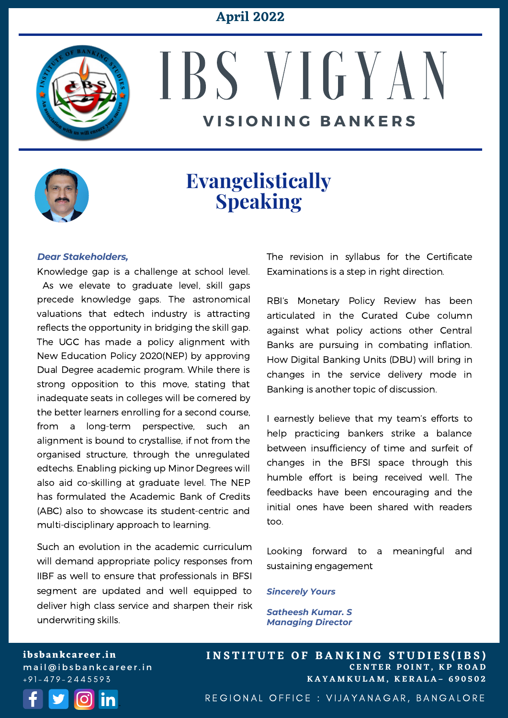### **April 2022**



# IBS V I G Y A N **V I S I O N I N G B A N K E R S**



### **Evangelistically Speaking**

#### *Dear Stakeholders,*

Knowledge gap is a challenge at school level. As we elevate to graduate level, skill gaps precede knowledge gaps. The astronomical valuations that edtech industry is attracting reflects the opportunity in bridging the skill gap. The UGC has made a policy alignment with New Education Policy 2020(NEP) by approving Dual Degree academic program. While there is strong opposition to this move, stating that inadequate seats in colleges will be cornered by the better learners enrolling for a second course, from a long-term perspective, such an alignment is bound to crystallise, if not from the organised structure, through the unregulated edtechs. Enabling picking up Minor Degrees will also aid co-skilling at graduate level. The NEP has formulated the Academic Bank of Credits (ABC) also to showcase its student-centric and multi-disciplinary approach to learning.

Such an evolution in the academic curriculum will demand appropriate policy responses from IIBF as well to ensure that professionals in BFSI segment are updated and well equipped to deliver high class service and sharpen their risk underwriting skills.

The revision in syllabus for the Certificate Examinations is a step in right direction.

RBI's Monetary Policy Review has been articulated in the Curated Cube column against what policy actions other Central Banks are pursuing in combating inflation. How Digital Banking Units (DBU) will bring in changes in the service delivery mode in Banking is another topic of discussion.

I earnestly believe that my team's efforts to help practicing bankers strike a balance between insufficiency of time and surfeit of changes in the BFSI space through this humble effort is being received well. The feedbacks have been encouraging and the initial ones have been shared with readers too.

Looking forward to a meaningful and sustaining engagement

#### *Sincerely Yours*

*Satheesh Kumar. S Managing Director*

**ibsbankcareer.in** mail@ibsbankcareer.in  $+91 - 479 - 2445593$ 



**C E N T E R P O I N T , K P R O A D K A Y A M K U L A M , K E R A L A – 6 9 0 5 0 2 INSTITUTE OF BANKING STUDIES(IBS)** 

REGIONAL OFFICE : VIJAYANAGAR, BANGALORE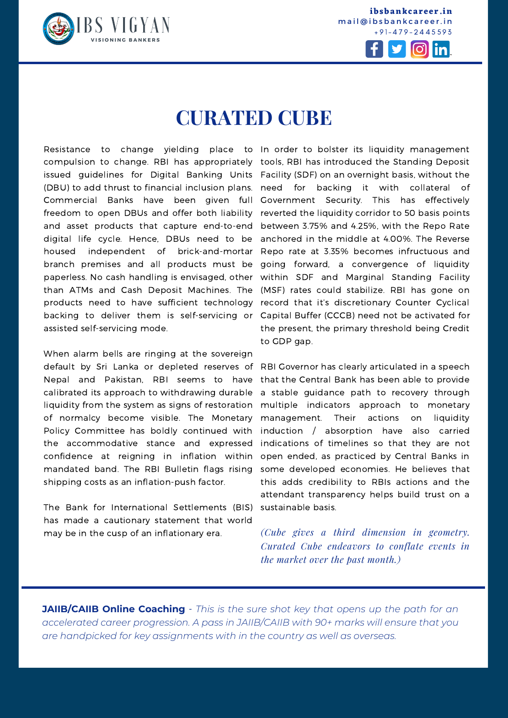

**ibsbankcareer.in** mail@ibsbankcareer.in + 9 1 - 4 7 9 - 2 4 4 5 5 9 3



# **CURATED CUBE**

Resistance to change yielding place to In order to bolster its liquidity management issued guidelines for Digital Banking Units Facility (SDF) on an overnight basis, without the compulsion to change. RBI has appropriately (DBU) to add thrust to financial inclusion plans. Commercial Banks have been given full freedom to open DBUs and offer both liability and asset products that capture end-to-end digital life cycle. Hence, DBUs need to be housed independent of brick-and-mortar branch premises and all products must be paperless. No cash handling is envisaged, other than ATMs and Cash Deposit Machines. The products need to have sufficient technology backing to deliver them is self-servicing or assisted self-servicing mode.

When alarm bells are ringing at the sovereign default by Sri Lanka or depleted reserves of Nepal and Pakistan, RBI seems to have calibrated its approach to withdrawing durable liquidity from the system as signs of restoration of normalcy become visible. The Monetary Policy Committee has boldly continued with the accommodative stance and expressed confidence at reigning in inflation within mandated band. The RBI Bulletin flags rising shipping costs as an inflation-push factor.

The Bank for International Settlements (BIS) has made a cautionary statement that world may be in the cusp of an inflationary era.

tools, RBI has introduced the Standing Deposit need for backing it with collateral of Government Security. This has effectively reverted the liquidity corridor to 50 basis points between 3.75% and 4.25%, with the Repo Rate anchored in the middle at 4.00%. The Reverse Repo rate at 3.35% becomes infructuous and going forward, a convergence of liquidity within SDF and Marginal Standing Facility (MSF) rates could stabilize. RBI has gone on record that it's discretionary Counter Cyclical Capital Buffer (CCCB) need not be activated for the present, the primary threshold being Credit to GDP gap.

RBI Governor has clearly articulated in a speech that the Central Bank has been able to provide a stable guidance path to recovery through multiple indicators approach to monetary management. Their actions on liquidity induction / absorption have also carried indications of timelines so that they are not open ended, as practiced by Central Banks in some developed economies. He believes that this adds credibility to RBIs actions and the attendant transparency helps build trust on a sustainable basis.

*(Cube gives a third dimension in geometry. Curated Cube endeavors to conflate events in the market over the past month.)*

**JAIIB/CAIIB Online Coaching** - *This is the sure shot key that opens up the path for an accelerated career progression. A pass in [JAIIB/CAIIB](https://ibsbankcareer.in/course/) with 90+ marks will ensure that you are handpicked for key assignments with in the country as well as overseas.*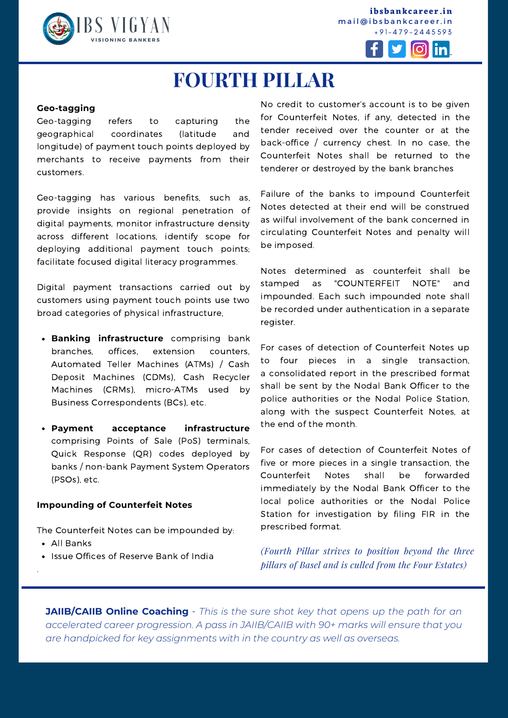

**ibsbankcareer.in** mail@ibsbankcareer.in + 9 1 - 4 7 9 - 2 4 4 5 5 9 3



## **FOURTH PILLAR**

#### **Geo-tagging**

Geo-tagging refers to capturing the geographical coordinates (latitude and longitude) of payment touch points deployed by merchants to receive payments from their customers.

Geo-tagging has various benefits, such as, provide insights on regional penetration of digital payments, monitor infrastructure density across different locations, identify scope for deploying additional payment touch points; facilitate focused digital literacy programmes.

Digital payment transactions carried out by customers using payment touch points use two broad categories of physical infrastructure,

- **Banking infrastructure** comprising bank branches, offices, extension counters, Automated Teller Machines (ATMs) / Cash Deposit Machines (CDMs), Cash Recycler Machines (CRMs), micro-ATMs used by Business Correspondents (BCs), etc.
- **Payment acceptance infrastructure** comprising Points of Sale (PoS) terminals, Quick Response (QR) codes deployed by banks / non-bank Payment System Operators (PSOs), etc.

#### **Impounding of Counterfeit Notes**

The Counterfeit Notes can be impounded by:

All Banks

.

• Issue Offices of Reserve Bank of India

No credit to customer's account is to be given for Counterfeit Notes, if any, detected in the tender received over the counter or at the back-office / currency chest. In no case, the Counterfeit Notes shall be returned to the tenderer or destroyed by the bank branches

Failure of the banks to impound Counterfeit Notes detected at their end will be construed as wilful involvement of the bank concerned in circulating Counterfeit Notes and penalty will be imposed.

Notes determined as counterfeit shall be stamped as "COUNTERFEIT NOTE" and impounded. Each such impounded note shall be recorded under authentication in a separate register.

For cases of detection of Counterfeit Notes up to four pieces in a single transaction, a consolidated report in the prescribed format shall be sent by the Nodal Bank Officer to the police authorities or the Nodal Police Station, along with the suspect Counterfeit Notes, at the end of the month.

For cases of detection of Counterfeit Notes of five or more pieces in a single transaction, the Counterfeit Notes shall be forwarded immediately by the Nodal Bank Officer to the local police authorities or the Nodal Police Station for investigation by filing FIR in the prescribed format.

*(Fourth Pillar strives to position beyond the three pillars of Basel and is culled from the Four Estates)*

**I N S T I T U T E O F B A N K I N G S T U D I E S (I B S )**

**JAIIB/CAIIB Online Coaching** - *This is the sure shot key that opens up the path for an accelerated career progression. A pass in [JAIIB/CAIIB](https://ibsbankcareer.in/course/) with 90+ marks will ensure that you are handpicked for key assignments with in the country as well as overseas.*